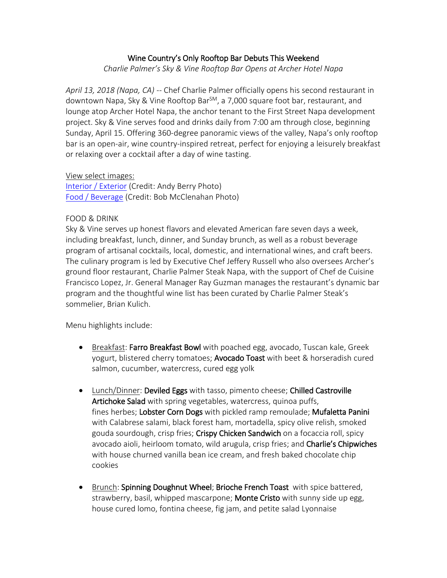### Wine Country's Only Rooftop Bar Debuts This Weekend

*Charlie Palmer's Sky & Vine Rooftop Bar Opens at Archer Hotel Napa*

*April 13, 2018 (Napa, CA) --* Chef Charlie Palmer officially opens his second restaurant in downtown Napa, Sky & Vine Rooftop Bar<sup>SM</sup>, a 7,000 square foot bar, restaurant, and lounge atop Archer Hotel Napa, the anchor tenant to the First Street Napa development project. Sky & Vine serves food and drinks daily from 7:00 am through close, beginning Sunday, April 15. Offering 360-degree panoramic views of the valley, Napa's only rooftop bar is an open-air, wine country-inspired retreat, perfect for enjoying a leisurely breakfast or relaxing over a cocktail after a day of wine tasting.

View select images:

[Interior / Exterior](https://www.dropbox.com/sh/kuudz94uwje9ptf/AAC_K6WDGKwldkm21MnwnavVa?dl=0) (Credit: Andy Berry Photo) [Food / Beverage](https://www.dropbox.com/sh/ih9tbiw53hi2skl/AADjprx1oCGy_RPfVdRVhkf6a?dl=0) (Credit: Bob McClenahan Photo)

### FOOD & DRINK

Sky & Vine serves up honest flavors and elevated American fare seven days a week, including breakfast, lunch, dinner, and Sunday brunch, as well as a robust beverage program of artisanal cocktails, local, domestic, and international wines, and craft beers. The culinary program is led by Executive Chef Jeffery Russell who also oversees Archer's ground floor restaurant, Charlie Palmer Steak Napa, with the support of Chef de Cuisine Francisco Lopez, Jr. General Manager Ray Guzman manages the restaurant's dynamic bar program and the thoughtful wine list has been curated by Charlie Palmer Steak's sommelier, Brian Kulich.

Menu highlights include:

- Breakfast: Farro Breakfast Bowl with poached egg, avocado, Tuscan kale, Greek yogurt, blistered cherry tomatoes; Avocado Toast with beet & horseradish cured salmon, cucumber, watercress, cured egg yolk
- Lunch/Dinner: Deviled Eggs with tasso, pimento cheese; Chilled Castroville Artichoke Salad with spring vegetables, watercress, quinoa puffs, fines herbes; Lobster Corn Dogs with pickled ramp remoulade; Mufaletta Panini with Calabrese salami, black forest ham, mortadella, spicy olive relish, smoked gouda sourdough, crisp fries; Crispy Chicken Sandwich on a focaccia roll, spicy avocado aioli, heirloom tomato, wild arugula, crisp fries; and Charlie's Chipwiches with house churned vanilla bean ice cream, and fresh baked chocolate chip cookies
- Brunch: Spinning Doughnut Wheel; Brioche French Toast with spice battered, strawberry, basil, whipped mascarpone; Monte Cristo with sunny side up egg, house cured lomo, fontina cheese, fig jam, and petite salad Lyonnaise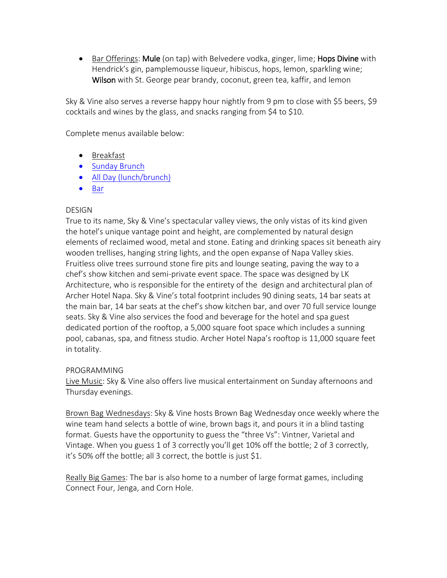• Bar Offerings: Mule (on tap) with Belvedere vodka, ginger, lime; Hops Divine with Hendrick's gin, pamplemousse liqueur, hibiscus, hops, lemon, sparkling wine; Wilson with St. George pear brandy, coconut, green tea, kaffir, and lemon

Sky & Vine also serves a reverse happy hour nightly from 9 pm to close with \$5 beers, \$9 cocktails and wines by the glass, and snacks ranging from \$4 to \$10.

Complete menus available below:

- [Breakfast](https://www.dropbox.com/s/b4z1l7k0iudn2mf/Sky%20%26%20Vine%20Breakfast.pdf?dl=0)
- [Sunday Brunch](https://www.dropbox.com/s/sqonlv0zs0xwu6r/S%26V%20Brunch%20Menu%20.pdf?dl=0)
- [All Day \(lunch/brunch\)](https://www.dropbox.com/s/4j96zpy16awt87c/S%26V%20All%20Day%20Menu.pdf?dl=0)
- [Bar](https://www.dropbox.com/s/3eqj4zhfg3yyn2b/S%26V%20Bar%20Menu.pdf?dl=0)

# **DESIGN**

True to its name, Sky & Vine's spectacular valley views, the only vistas of its kind given the hotel's unique vantage point and height, are complemented by natural design elements of reclaimed wood, metal and stone. Eating and drinking spaces sit beneath airy wooden trellises, hanging string lights, and the open expanse of Napa Valley skies. Fruitless olive trees surround stone fire pits and lounge seating, paving the way to a chef's show kitchen and semi-private event space. The space was designed by LK Architecture, who is responsible for the entirety of the design and architectural plan of Archer Hotel Napa. Sky & Vine's total footprint includes 90 dining seats, 14 bar seats at the main bar, 14 bar seats at the chef's show kitchen bar, and over 70 full service lounge seats. Sky & Vine also services the food and beverage for the hotel and spa guest dedicated portion of the rooftop, a 5,000 square foot space which includes a sunning pool, cabanas, spa, and fitness studio. Archer Hotel Napa's rooftop is 11,000 square feet in totality.

# PROGRAMMING

Live Music: Sky & Vine also offers live musical entertainment on Sunday afternoons and Thursday evenings.

Brown Bag Wednesdays: Sky & Vine hosts Brown Bag Wednesday once weekly where the wine team hand selects a bottle of wine, brown bags it, and pours it in a blind tasting format. Guests have the opportunity to guess the "three Vs": Vintner, Varietal and Vintage. When you guess 1 of 3 correctly you'll get 10% off the bottle; 2 of 3 correctly, it's 50% off the bottle; all 3 correct, the bottle is just \$1.

Really Big Games: The bar is also home to a number of large format games, including Connect Four, Jenga, and Corn Hole.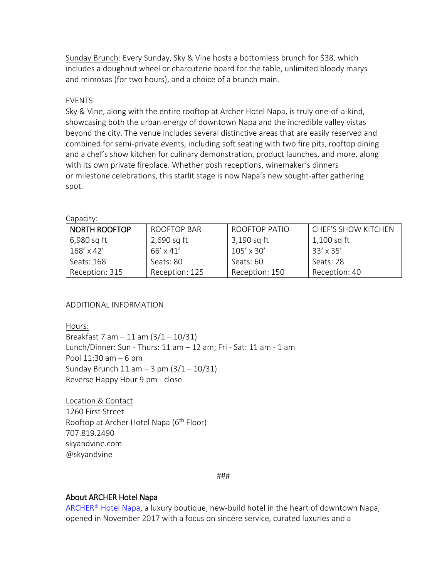Sunday Brunch: Every Sunday, Sky & Vine hosts a bottomless brunch for \$38, which includes a doughnut wheel or charcuterie board for the table, unlimited bloody marys and mimosas (for two hours), and a choice of a brunch main.

#### **FVFNTS**

Sky & Vine, along with the entire rooftop at Archer Hotel Napa, is truly one-of-a-kind, showcasing both the urban energy of downtown Napa and the incredible valley vistas beyond the city. The venue includes several distinctive areas that are easily reserved and combined for semi-private events, including soft seating with two fire pits, rooftop dining and a chef's show kitchen for culinary demonstration, product launches, and more, along with its own private fireplace. Whether posh receptions, winemaker's dinners or milestone celebrations, this starlit stage is now Napa's new sought-after gathering spot.

Capacity:

| <b>NORTH ROOFTOP</b> | ROOFTOP BAR    | ROOFTOP PATIO  | <b>CHEF'S SHOW KITCHEN</b> |
|----------------------|----------------|----------------|----------------------------|
| 6,980 sq ft          | 2,690 sq ft    | 3,190 sq ft    | 1,100 sq ft                |
| 168' x 42'           | 66' x 41'      | 105' x 30'     | $33' \times 35'$           |
| Seats: 168           | Seats: 80      | Seats: 60      | Seats: 28                  |
| Reception: 315       | Reception: 125 | Reception: 150 | Reception: 40              |

### ADDITIONAL INFORMATION

Hours:

Breakfast 7 am  $-11$  am  $(3/1 - 10/31)$ Lunch/Dinner: Sun - Thurs: 11 am – 12 am; Fri - Sat: 11 am - 1 am Pool 11:30 am – 6 pm Sunday Brunch 11 am  $-$  3 pm  $(3/1 - 10/31)$ Reverse Happy Hour 9 pm - close

Location & Contact 1260 First Street Rooftop at Archer Hotel Napa (6<sup>th</sup> Floor) 707.819.2490 skyandvine.com @skyandvine

###

### About ARCHER Hotel Napa

[ARCHER®](http://link.gmapp4.net/x/c?c=2093556&l=b82dbc3e-c8cb-4376-8520-9b2960317489&r=259fb722-ed60-40c7-8f7b-1fea8b4670be) Hotel Napa, a luxury boutique, new-build hotel in the heart of downtown Napa, opened in November 2017 with a focus on sincere service, curated luxuries and a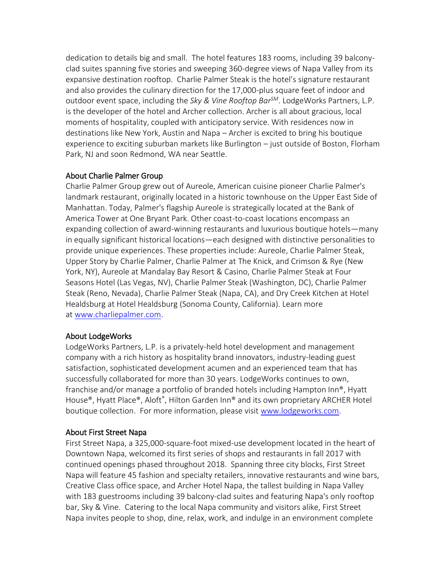dedication to details big and small. The hotel features 183 rooms, including 39 balconyclad suites spanning five stories and sweeping 360-degree views of Napa Valley from its expansive destination rooftop. Charlie Palmer Steak is the hotel's signature restaurant and also provides the culinary direction for the 17,000-plus square feet of indoor and outdoor event space, including the *Sky & Vine Rooftop BarSM*. LodgeWorks Partners, L.P. is the developer of the hotel and Archer collection. Archer is all about gracious, local moments of hospitality, coupled with anticipatory service. With residences now in destinations like New York, Austin and Napa – Archer is excited to bring his boutique experience to exciting suburban markets like Burlington – just outside of Boston, Florham Park, NJ and soon Redmond, WA near Seattle.

# About Charlie Palmer Group

Charlie Palmer Group grew out of Aureole, American cuisine pioneer Charlie Palmer's landmark restaurant, originally located in a historic townhouse on the Upper East Side of Manhattan. Today, Palmer's flagship Aureole is strategically located at the Bank of America Tower at One Bryant Park. Other coast-to-coast locations encompass an expanding collection of award-winning restaurants and luxurious boutique hotels—many in equally significant historical locations—each designed with distinctive personalities to provide unique experiences. These properties include: Aureole, Charlie Palmer Steak, Upper Story by Charlie Palmer, Charlie Palmer at The Knick, and Crimson & Rye (New York, NY), Aureole at Mandalay Bay Resort & Casino, Charlie Palmer Steak at Four Seasons Hotel (Las Vegas, NV), Charlie Palmer Steak (Washington, DC), Charlie Palmer Steak (Reno, Nevada), Charlie Palmer Steak (Napa, CA), and Dry Creek Kitchen at Hotel Healdsburg at Hotel Healdsburg (Sonoma County, California). Learn more at [www.charliepalmer.com.](http://link.gmapp4.net/x/c?c=2093556&l=c542c2c0-ca8f-4adc-ba8d-61ff47e624d7&r=259fb722-ed60-40c7-8f7b-1fea8b4670be)

# About LodgeWorks

LodgeWorks Partners, L.P. is a privately-held hotel development and management company with a rich history as hospitality brand innovators, industry-leading guest satisfaction, sophisticated development acumen and an experienced team that has successfully collaborated for more than 30 years. LodgeWorks continues to own, franchise and/or manage a portfolio of branded hotels including Hampton Inn®, Hyatt House®, Hyatt Place®, Aloft®, Hilton Garden Inn® and its own proprietary ARCHER Hotel boutique collection. For more information, please visit [www.lodgeworks.com.](http://link.gmapp4.net/x/c?c=2093556&l=7a15fe2b-1073-4212-a38b-4384430b1ea2&r=259fb722-ed60-40c7-8f7b-1fea8b4670be)

# About First Street Napa

First Street Napa, a 325,000-square-foot mixed-use development located in the heart of Downtown Napa, welcomed its first series of shops and restaurants in fall 2017 with continued openings phased throughout 2018. Spanning three city blocks, First Street Napa will feature 45 fashion and specialty retailers, innovative restaurants and wine bars, Creative Class office space, and Archer Hotel Napa, the tallest building in Napa Valley with 183 guestrooms including 39 balcony-clad suites and featuring Napa's only rooftop bar, Sky & Vine. Catering to the local Napa community and visitors alike, First Street Napa invites people to shop, dine, relax, work, and indulge in an environment complete